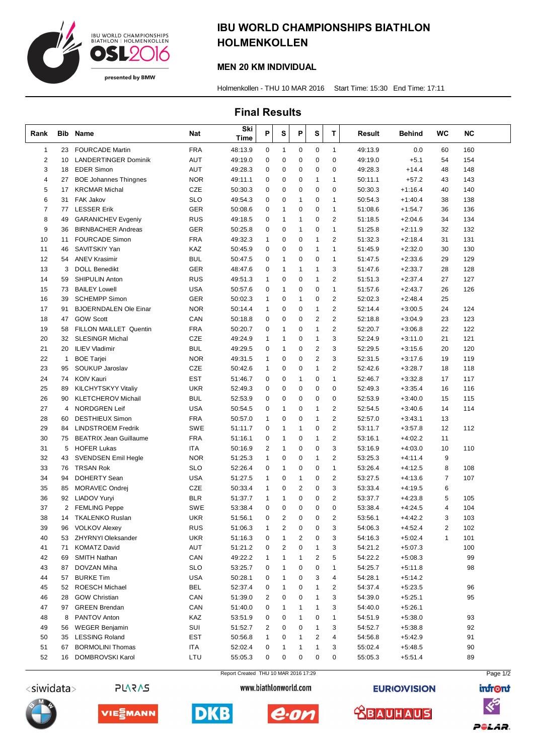

# IBU WORLD CHAMPIONSHIPS BIATHLON HOLMENKOLLEN

#### MEN 20 KM INDIVIDUAL

Holmenkollen - THU 10 MAR 2016 Start Time: 15:30 End Time: 17:11

### Final Results

| Rank           |    | <b>Bib Name</b>               | <b>Nat</b> | Ski<br>Time | P            | S            | P            | S                       | т                       | Result  | Behind    | WC | ΝC  |
|----------------|----|-------------------------------|------------|-------------|--------------|--------------|--------------|-------------------------|-------------------------|---------|-----------|----|-----|
| $\mathbf{1}$   | 23 | <b>FOURCADE Martin</b>        | <b>FRA</b> | 48:13.9     | $\mathbf 0$  | $\mathbf{1}$ | 0            | 0                       | $\mathbf{1}$            | 49:13.9 | 0.0       | 60 | 160 |
| $\overline{2}$ | 10 | <b>LANDERTINGER Dominik</b>   | <b>AUT</b> | 49:19.0     | 0            | 0            | 0            | $\mathbf 0$             | 0                       | 49:19.0 | $+5.1$    | 54 | 154 |
| 3              | 18 | <b>EDER Simon</b>             | <b>AUT</b> | 49:28.3     | 0            | 0            | 0            | $\mathbf 0$             | 0                       | 49:28.3 | $+14.4$   | 48 | 148 |
| 4              | 27 | <b>BOE Johannes Thingnes</b>  | <b>NOR</b> | 49:11.1     | 0            | 0            | 0            | $\mathbf{1}$            | 1                       | 50:11.1 | $+57.2$   | 43 | 143 |
| 5              | 17 | <b>KRCMAR Michal</b>          | CZE        | 50:30.3     | 0            | 0            | 0            | 0                       | 0                       | 50:30.3 | $+1:16.4$ | 40 | 140 |
| 6              | 31 | <b>FAK Jakov</b>              | <b>SLO</b> | 49:54.3     | 0            | 0            | 1            | 0                       | 1                       | 50:54.3 | $+1:40.4$ | 38 | 138 |
| 7              | 77 | <b>LESSER Erik</b>            | GER        | 50:08.6     | 0            | 1            | 0            | 0                       | 1                       | 51:08.6 | $+1:54.7$ | 36 | 136 |
| 8              | 49 | <b>GARANICHEV Evgeniy</b>     | <b>RUS</b> | 49:18.5     | 0            | 1            | 1            | 0                       | $\overline{\mathbf{c}}$ | 51:18.5 | $+2:04.6$ | 34 | 134 |
| 9              | 36 | <b>BIRNBACHER Andreas</b>     | GER        | 50:25.8     | 0            | 0            | 1            | 0                       | $\mathbf{1}$            | 51:25.8 | $+2:11.9$ | 32 | 132 |
| 10             | 11 | <b>FOURCADE Simon</b>         | <b>FRA</b> | 49:32.3     | 1            | 0            | 0            | 1                       | $\overline{2}$          | 51:32.3 | $+2:18.4$ | 31 | 131 |
| 11             | 46 | SAVITSKIY Yan                 | KAZ        | 50:45.9     | 0            | 0            | 0            | $\mathbf{1}$            | 1                       | 51:45.9 | $+2:32.0$ | 30 | 130 |
| 12             | 54 | <b>ANEV Krasimir</b>          | <b>BUL</b> | 50:47.5     | 0            | 1            | 0            | $\mathbf 0$             | 1                       | 51:47.5 | $+2:33.6$ | 29 | 129 |
| 13             | 3  | <b>DOLL Benedikt</b>          | <b>GER</b> | 48:47.6     | 0            | 1            | $\mathbf{1}$ | $\mathbf{1}$            | 3                       | 51:47.6 | $+2:33.7$ | 28 | 128 |
| 14             | 59 | <b>SHIPULIN Anton</b>         | <b>RUS</b> | 49:51.3     | $\mathbf{1}$ | 0            | 0            | $\mathbf{1}$            | 2                       | 51:51.3 | $+2:37.4$ | 27 | 127 |
| 15             | 73 | <b>BAILEY Lowell</b>          | <b>USA</b> | 50:57.6     | 0            | 1            | 0            | 0                       | $\mathbf{1}$            | 51:57.6 | $+2:43.7$ | 26 | 126 |
| 16             | 39 | <b>SCHEMPP Simon</b>          | GER        | 50:02.3     | 1            | 0            | 1            | 0                       | $\overline{2}$          | 52:02.3 | $+2:48.4$ | 25 |     |
| 17             | 91 | <b>BJOERNDALEN Ole Einar</b>  | <b>NOR</b> | 50:14.4     | $\mathbf{1}$ | 0            | 0            | $\mathbf{1}$            | $\overline{2}$          | 52:14.4 | $+3:00.5$ | 24 | 124 |
| 18             | 47 | <b>GOW Scott</b>              | CAN        | 50:18.8     | 0            | 0            | 0            | $\overline{2}$          | $\overline{2}$          | 52:18.8 | $+3:04.9$ | 23 | 123 |
| 19             | 58 | FILLON MAILLET Quentin        | <b>FRA</b> | 50:20.7     | 0            | 1            | 0            | $\mathbf{1}$            | $\overline{2}$          | 52:20.7 | $+3:06.8$ | 22 | 122 |
| 20             | 32 | <b>SLESINGR Michal</b>        | CZE        | 49:24.9     | 1            | 1            | 0            | 1                       | 3                       | 52:24.9 | $+3:11.0$ | 21 | 121 |
| 21             | 20 | <b>ILIEV Vladimir</b>         | <b>BUL</b> | 49:29.5     | 0            | 1            | 0            | $\overline{\mathbf{c}}$ | 3                       | 52:29.5 | $+3:15.6$ | 20 | 120 |
| 22             | 1  | <b>BOE Tarjei</b>             | <b>NOR</b> | 49:31.5     | 1            | 0            | 0            | $\overline{2}$          | 3                       | 52:31.5 | $+3:17.6$ | 19 | 119 |
| 23             | 95 | SOUKUP Jaroslav               | CZE        | 50:42.6     | 1            | 0            | 0            | $\mathbf{1}$            | $\overline{\mathbf{c}}$ | 52:42.6 | $+3:28.7$ | 18 | 118 |
| 24             | 74 | <b>KOIV Kauri</b>             | <b>EST</b> | 51:46.7     | 0            | 0            | 1            | $\mathbf 0$             | $\mathbf{1}$            | 52:46.7 | $+3:32.8$ | 17 | 117 |
| 25             | 89 | <b>KILCHYTSKYY Vitaliy</b>    | <b>UKR</b> | 52:49.3     | 0            | 0            | 0            | $\mathbf 0$             | 0                       | 52:49.3 | $+3:35.4$ | 16 | 116 |
| 26             | 90 | <b>KLETCHEROV Michail</b>     | <b>BUL</b> | 52:53.9     | 0            | 0            | 0            | 0                       | 0                       | 52:53.9 | $+3:40.0$ | 15 | 115 |
| 27             | 4  | <b>NORDGREN Leif</b>          | <b>USA</b> | 50:54.5     | 0            | 1            | 0            | $\mathbf{1}$            | 2                       | 52:54.5 | $+3:40.6$ | 14 | 114 |
| 28             | 60 | <b>DESTHIEUX Simon</b>        | <b>FRA</b> | 50:57.0     | $\mathbf{1}$ | $\mathbf 0$  | 0            | $\mathbf{1}$            | $\overline{2}$          | 52:57.0 | $+3:43.1$ | 13 |     |
| 29             | 84 | <b>LINDSTROEM Fredrik</b>     | <b>SWE</b> | 51:11.7     | 0            | 1            | 1            | 0                       | $\overline{2}$          | 53:11.7 | $+3:57.8$ | 12 | 112 |
| 30             | 75 | <b>BEATRIX Jean Guillaume</b> | <b>FRA</b> | 51:16.1     | 0            | $\mathbf{1}$ | 0            | $\mathbf{1}$            | $\overline{2}$          | 53:16.1 | $+4:02.2$ | 11 |     |
| 31             | 5  | <b>HOFER Lukas</b>            | <b>ITA</b> | 50:16.9     | 2            | 1            | 0            | 0                       | 3                       | 53:16.9 | $+4:03.0$ | 10 | 110 |
| 32             | 43 | SVENDSEN Emil Hegle           | <b>NOR</b> | 51:25.3     | $\mathbf{1}$ | 0            | 0            | $\mathbf{1}$            | 2                       | 53:25.3 | $+4:11.4$ | 9  |     |
| 33             | 76 | <b>TRSAN Rok</b>              | <b>SLO</b> | 52:26.4     | 0            | 1            | 0            | 0                       | 1                       | 53:26.4 | $+4:12.5$ | 8  | 108 |
| 34             | 94 | <b>DOHERTY Sean</b>           | <b>USA</b> | 51:27.5     | 1            | 0            | 1            | 0                       | 2                       | 53:27.5 | $+4:13.6$ | 7  | 107 |
| 35             | 85 | <b>MORAVEC Ondrej</b>         | CZE        | 50:33.4     | 1            | $\mathbf 0$  | 2            | 0                       | 3                       | 53:33.4 | $+4:19.5$ | 6  |     |
| 36             |    | 92 LIADOV Yuryi               | <b>BLR</b> | 51:37.7     | 1            | 1            | 0            | 0                       | $\overline{2}$          | 53:37.7 | $+4:23.8$ | 5  | 105 |
| 37             | 2  | <b>FEMLING Peppe</b>          | SWE        | 53:38.4     | 0            | 0            | 0            | 0                       | 0                       | 53:38.4 | $+4:24.5$ | 4  | 104 |
| 38             | 14 | <b>TKALENKO Ruslan</b>        | <b>UKR</b> | 51:56.1     | 0            | 2            | 0            | 0                       | $\overline{2}$          | 53:56.1 | $+4:42.2$ | 3  | 103 |
| 39             | 96 | <b>VOLKOV Alexey</b>          | <b>RUS</b> | 51:06.3     | 1            | 2            | 0            | 0                       | 3                       | 54:06.3 | $+4:52.4$ | 2  | 102 |
| 40             | 53 | ZHYRNYI Oleksander            | <b>UKR</b> | 51:16.3     | 0            |              | 2            | 0                       | 3                       | 54:16.3 | $+5:02.4$ | 1  | 101 |
| 41             | 71 | <b>KOMATZ David</b>           | AUT        | 51:21.2     | 0            | 2            | 0            | 1                       | 3                       | 54:21.2 | $+5:07.3$ |    | 100 |
| 42             | 69 | <b>SMITH Nathan</b>           | CAN        | 49:22.2     | 1            | 1            | 1            | 2                       | 5                       | 54:22.2 | $+5:08.3$ |    | 99  |
| 43             | 87 | DOVZAN Miha                   | SLO        | 53:25.7     | 0            | 1            | 0            | 0                       | 1                       | 54:25.7 | $+5:11.8$ |    | 98  |
| 44             | 57 | <b>BURKE Tim</b>              | USA        | 50:28.1     | 0            | 1            | 0            | 3                       | 4                       | 54:28.1 | +5:14.2   |    |     |
| 45             | 52 | <b>ROESCH Michael</b>         | <b>BEL</b> | 52:37.4     | 0            | 1            | 0            | 1                       | 2                       | 54:37.4 | $+5:23.5$ |    | 96  |
| 46             | 28 | <b>GOW Christian</b>          | CAN        | 51:39.0     | 2            | 0            | 0            | 1                       | 3                       | 54:39.0 | $+5:25.1$ |    | 95  |
| 47             | 97 | <b>GREEN Brendan</b>          | CAN        | 51:40.0     | 0            | 1            | 1            | 1                       | 3                       | 54:40.0 | $+5:26.1$ |    |     |
| 48             | 8  | PANTOV Anton                  | KAZ        | 53:51.9     | 0            | 0            | 1            | 0                       | 1                       | 54:51.9 | $+5:38.0$ |    | 93  |
| 49             | 56 | <b>WEGER Benjamin</b>         | SUI        | 51:52.7     | 2            | 0            | 0            | 1                       | 3                       | 54:52.7 | $+5:38.8$ |    | 92  |
| 50             | 35 | <b>LESSING Roland</b>         | <b>EST</b> | 50:56.8     | 1            | 0            | 1            | $\overline{c}$          | 4                       | 54:56.8 | $+5:42.9$ |    | 91  |
| 51             | 67 | <b>BORMOLINI Thomas</b>       | ITA        | 52:02.4     | 0            | 1            | 1            | 1                       | 3                       | 55:02.4 | $+5:48.5$ |    | 90  |
| 52             | 16 | DOMBROVSKI Karol              | LTU        | 55:05.3     | 0            | 0            | 0            | 0                       | 0                       | 55:05.3 | +5:51.4   |    | 89  |



**PLARAS** 

















POLAR.